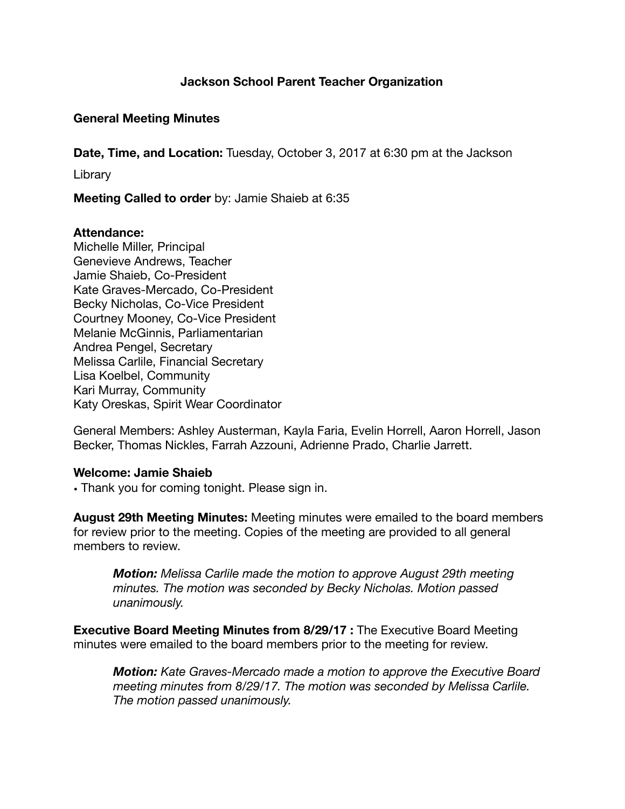# **Jackson School Parent Teacher Organization**

### **General Meeting Minutes**

**Date, Time, and Location:** Tuesday, October 3, 2017 at 6:30 pm at the Jackson

Library

**Meeting Called to order** by: Jamie Shaieb at 6:35

#### **Attendance:**

Michelle Miller, Principal Genevieve Andrews, Teacher Jamie Shaieb, Co-President Kate Graves-Mercado, Co-President Becky Nicholas, Co-Vice President Courtney Mooney, Co-Vice President Melanie McGinnis, Parliamentarian Andrea Pengel, Secretary Melissa Carlile, Financial Secretary Lisa Koelbel, Community Kari Murray, Community Katy Oreskas, Spirit Wear Coordinator

General Members: Ashley Austerman, Kayla Faria, Evelin Horrell, Aaron Horrell, Jason Becker, Thomas Nickles, Farrah Azzouni, Adrienne Prado, Charlie Jarrett.

#### **Welcome: Jamie Shaieb**

**•** Thank you for coming tonight. Please sign in.

**August 29th Meeting Minutes:** Meeting minutes were emailed to the board members for review prior to the meeting. Copies of the meeting are provided to all general members to review.

*Motion: Melissa Carlile made the motion to approve August 29th meeting minutes. The motion was seconded by Becky Nicholas. Motion passed unanimously.* 

**Executive Board Meeting Minutes from 8/29/17 :** The Executive Board Meeting minutes were emailed to the board members prior to the meeting for review.

*Motion: Kate Graves-Mercado made a motion to approve the Executive Board meeting minutes from 8/29/17. The motion was seconded by Melissa Carlile. The motion passed unanimously.*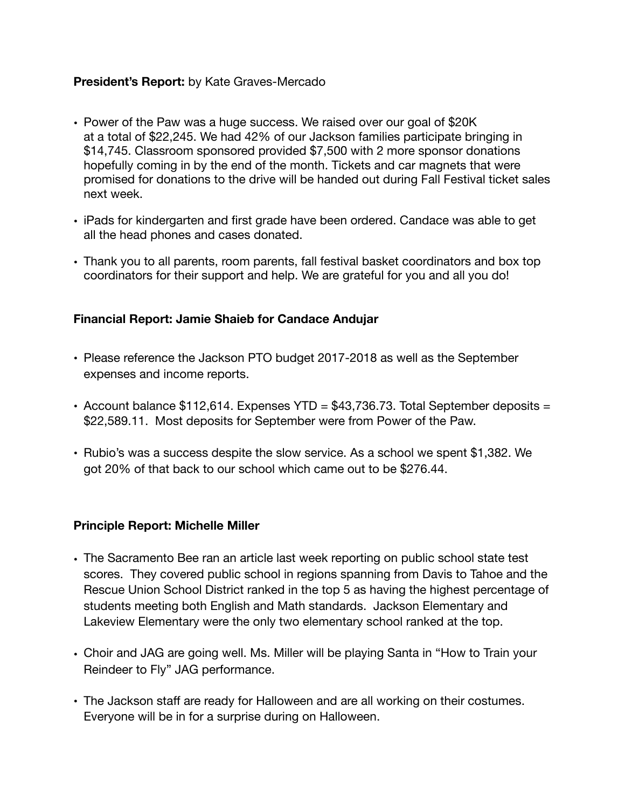# **President's Report:** by Kate Graves-Mercado

- Power of the Paw was a huge success. We raised over our goal of \$20K at a total of \$22,245. We had 42% of our Jackson families participate bringing in \$14,745. Classroom sponsored provided \$7,500 with 2 more sponsor donations hopefully coming in by the end of the month. Tickets and car magnets that were promised for donations to the drive will be handed out during Fall Festival ticket sales next week.
- iPads for kindergarten and first grade have been ordered. Candace was able to get all the head phones and cases donated.
- Thank you to all parents, room parents, fall festival basket coordinators and box top coordinators for their support and help. We are grateful for you and all you do!

# **Financial Report: Jamie Shaieb for Candace Andujar**

- Please reference the Jackson PTO budget 2017-2018 as well as the September expenses and income reports.
- Account balance \$112,614. Expenses YTD = \$43,736.73. Total September deposits = \$22,589.11. Most deposits for September were from Power of the Paw.
- Rubio's was a success despite the slow service. As a school we spent \$1,382. We got 20% of that back to our school which came out to be \$276.44.

### **Principle Report: Michelle Miller**

- **•** The Sacramento Bee ran an article last week reporting on public school state test scores. They covered public school in regions spanning from Davis to Tahoe and the Rescue Union School District ranked in the top 5 as having the highest percentage of students meeting both English and Math standards. Jackson Elementary and Lakeview Elementary were the only two elementary school ranked at the top.
- **•** Choir and JAG are going well. Ms. Miller will be playing Santa in "How to Train your Reindeer to Fly" JAG performance.
- **•** The Jackson staff are ready for Halloween and are all working on their costumes. Everyone will be in for a surprise during on Halloween.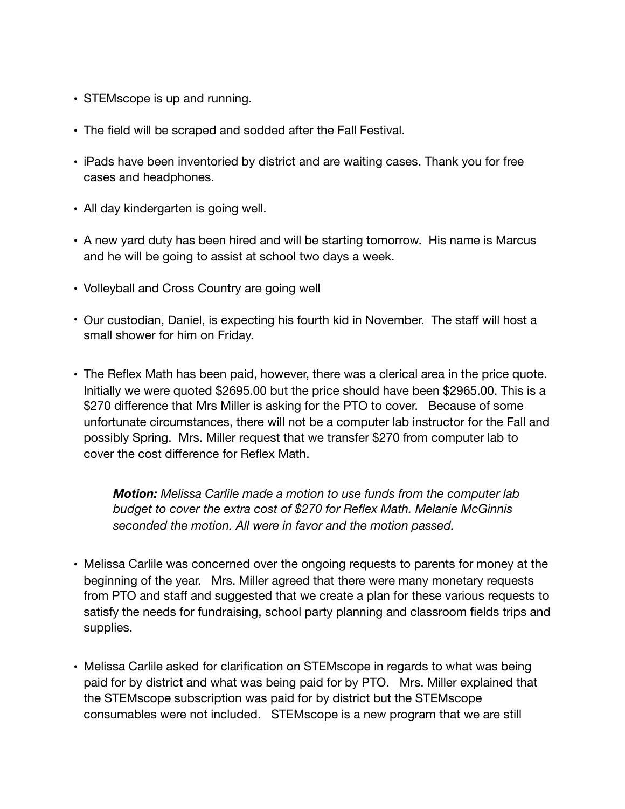- **•** STEMscope is up and running.
- **•** The field will be scraped and sodded after the Fall Festival.
- **•** iPads have been inventoried by district and are waiting cases. Thank you for free cases and headphones.
- **•** All day kindergarten is going well.
- **•** A new yard duty has been hired and will be starting tomorrow. His name is Marcus and he will be going to assist at school two days a week.
- **•** Volleyball and Cross Country are going well
- Our custodian, Daniel, is expecting his fourth kid in November. The staff will host a small shower for him on Friday.
- The Reflex Math has been paid, however, there was a clerical area in the price quote. Initially we were quoted \$2695.00 but the price should have been \$2965.00. This is a \$270 difference that Mrs Miller is asking for the PTO to cover. Because of some unfortunate circumstances, there will not be a computer lab instructor for the Fall and possibly Spring. Mrs. Miller request that we transfer \$270 from computer lab to cover the cost difference for Reflex Math.

*Motion: Melissa Carlile made a motion to use funds from the computer lab budget to cover the extra cost of \$270 for Reflex Math. Melanie McGinnis seconded the motion. All were in favor and the motion passed.* 

- Melissa Carlile was concerned over the ongoing requests to parents for money at the beginning of the year. Mrs. Miller agreed that there were many monetary requests from PTO and staff and suggested that we create a plan for these various requests to satisfy the needs for fundraising, school party planning and classroom fields trips and supplies.
- Melissa Carlile asked for clarification on STEMscope in regards to what was being paid for by district and what was being paid for by PTO. Mrs. Miller explained that the STEMscope subscription was paid for by district but the STEMscope consumables were not included. STEMscope is a new program that we are still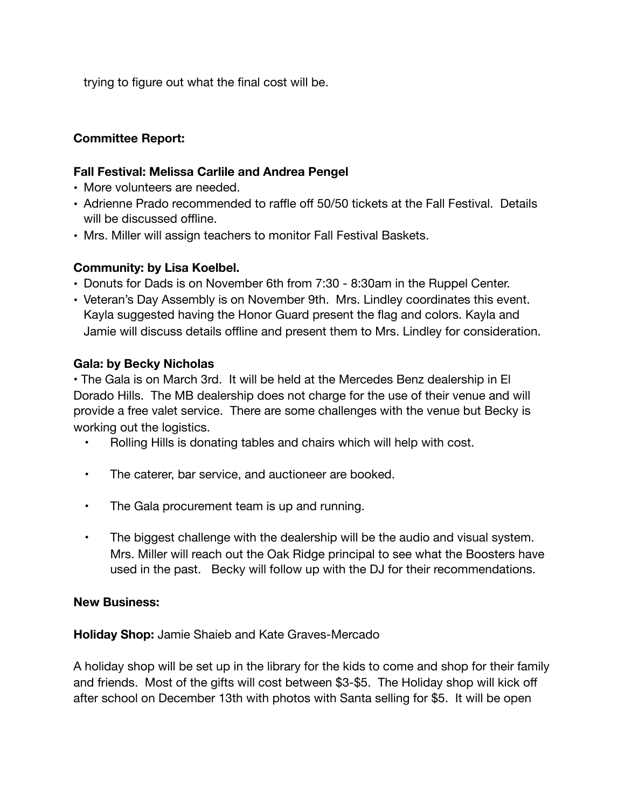trying to figure out what the final cost will be.

# **Committee Report:**

# **Fall Festival: Melissa Carlile and Andrea Pengel**

- More volunteers are needed.
- Adrienne Prado recommended to raffle off 50/50 tickets at the Fall Festival. Details will be discussed offline.
- Mrs. Miller will assign teachers to monitor Fall Festival Baskets.

# **Community: by Lisa Koelbel.**

- Donuts for Dads is on November 6th from 7:30 8:30am in the Ruppel Center.
- Veteran's Day Assembly is on November 9th. Mrs. Lindley coordinates this event. Kayla suggested having the Honor Guard present the flag and colors. Kayla and Jamie will discuss details offline and present them to Mrs. Lindley for consideration.

# **Gala: by Becky Nicholas**

• The Gala is on March 3rd. It will be held at the Mercedes Benz dealership in El Dorado Hills. The MB dealership does not charge for the use of their venue and will provide a free valet service. There are some challenges with the venue but Becky is working out the logistics.

- Rolling Hills is donating tables and chairs which will help with cost.
- The caterer, bar service, and auctioneer are booked.
- The Gala procurement team is up and running.
- The biggest challenge with the dealership will be the audio and visual system. Mrs. Miller will reach out the Oak Ridge principal to see what the Boosters have used in the past. Becky will follow up with the DJ for their recommendations.

### **New Business:**

### **Holiday Shop:** Jamie Shaieb and Kate Graves-Mercado

A holiday shop will be set up in the library for the kids to come and shop for their family and friends. Most of the gifts will cost between \$3-\$5. The Holiday shop will kick off after school on December 13th with photos with Santa selling for \$5. It will be open